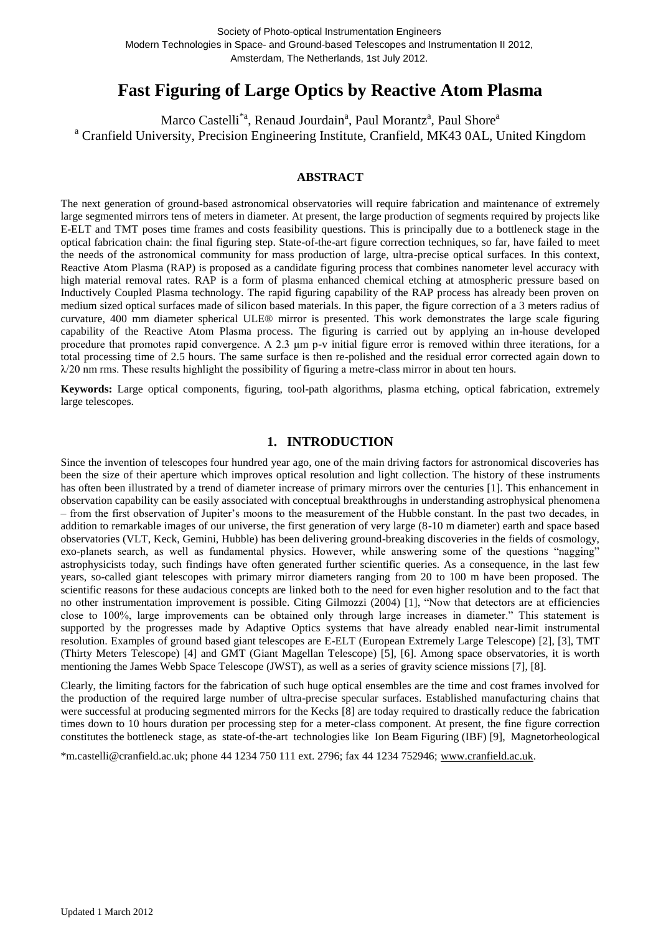# **Fast Figuring of Large Optics by Reactive Atom Plasma**

Marco Castelli<sup>\*a</sup>, Renaud Jourdain<sup>a</sup>, Paul Morantz<sup>a</sup>, Paul Shore<sup>a</sup> <sup>a</sup> Cranfield University, Precision Engineering Institute, Cranfield, MK43 0AL, United Kingdom

### **ABSTRACT**

The next generation of ground-based astronomical observatories will require fabrication and maintenance of extremely large segmented mirrors tens of meters in diameter. At present, the large production of segments required by projects like E-ELT and TMT poses time frames and costs feasibility questions. This is principally due to a bottleneck stage in the optical fabrication chain: the final figuring step. State-of-the-art figure correction techniques, so far, have failed to meet the needs of the astronomical community for mass production of large, ultra-precise optical surfaces. In this context, Reactive Atom Plasma (RAP) is proposed as a candidate figuring process that combines nanometer level accuracy with high material removal rates. RAP is a form of plasma enhanced chemical etching at atmospheric pressure based on Inductively Coupled Plasma technology. The rapid figuring capability of the RAP process has already been proven on medium sized optical surfaces made of silicon based materials. In this paper, the figure correction of a 3 meters radius of curvature, 400 mm diameter spherical ULE® mirror is presented. This work demonstrates the large scale figuring capability of the Reactive Atom Plasma process. The figuring is carried out by applying an in-house developed procedure that promotes rapid convergence. A 2.3 μm p-v initial figure error is removed within three iterations, for a total processing time of 2.5 hours. The same surface is then re-polished and the residual error corrected again down to  $\lambda$ /20 nm rms. These results highlight the possibility of figuring a metre-class mirror in about ten hours.

**Keywords:** Large optical components, figuring, tool-path algorithms, plasma etching, optical fabrication, extremely large telescopes.

# **1. INTRODUCTION**

Since the invention of telescopes four hundred year ago, one of the main driving factors for astronomical discoveries has been the size of their aperture which improves optical resolution and light collection. The history of these instruments has often been illustrated by a trend of diameter increase of primary mirrors over the centuries [1]. This enhancement in observation capability can be easily associated with conceptual breakthroughs in understanding astrophysical phenomena – from the first observation of Jupiter's moons to the measurement of the Hubble constant. In the past two decades, in addition to remarkable images of our universe, the first generation of very large (8-10 m diameter) earth and space based observatories (VLT, Keck, Gemini, Hubble) has been delivering ground-breaking discoveries in the fields of cosmology, exo-planets search, as well as fundamental physics. However, while answering some of the questions "nagging" astrophysicists today, such findings have often generated further scientific queries. As a consequence, in the last few years, so-called giant telescopes with primary mirror diameters ranging from 20 to 100 m have been proposed. The scientific reasons for these audacious concepts are linked both to the need for even higher resolution and to the fact that no other instrumentation improvement is possible. Citing Gilmozzi (2004) [\[1\],](#page-6-0) "Now that detectors are at efficiencies close to 100%, large improvements can be obtained only through large increases in diameter." This statement is supported by the progresses made by Adaptive Optics systems that have already enabled near-limit instrumental resolution. Examples of ground based giant telescopes are E-ELT (European Extremely Large Telescope) [\[2\],](#page-6-1) [\[3\],](#page-6-2) TMT (Thirty Meters Telescope) [\[4\]](#page-6-3) and GMT (Giant Magellan Telescope) [\[5\],](#page-6-4) [\[6\].](#page-6-5) Among space observatories, it is worth mentioning the James Webb Space Telescope (JWST), as well as a series of gravity science missions [\[7\],](#page-6-6) [\[8\].](#page-6-7)

Clearly, the limiting factors for the fabrication of such huge optical ensembles are the time and cost frames involved for the production of the required large number of ultra-precise specular surfaces. Established manufacturing chains that were successful at producing segmented mirrors for the Kecks [\[8\]](#page-6-7) are today required to drastically reduce the fabrication times down to 10 hours duration per processing step for a meter-class component. At present, the fine figure correction constitutes the bottleneck stage, as state-of-the-art technologies like Ion Beam Figuring (IBF) [\[9\],](#page-6-8) Magnetorheological

\*m.castelli@cranfield.ac.uk; phone 44 1234 750 111 ext. 2796; fax 44 1234 752946; [www.cranfield.ac.uk.](http://www.cranfield.ac.uk/)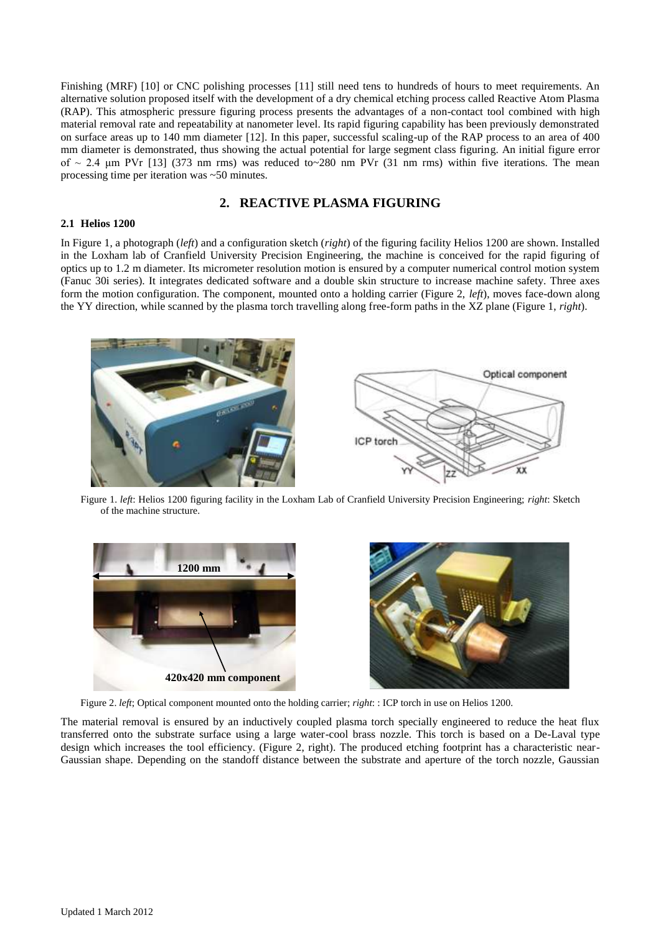Finishing (MRF) [\[10\]](#page-6-9) or CNC polishing processes [\[11\]](#page-6-10) still need tens to hundreds of hours to meet requirements. An alternative solution proposed itself with the development of a dry chemical etching process called Reactive Atom Plasma (RAP). This atmospheric pressure figuring process presents the advantages of a non-contact tool combined with high material removal rate and repeatability at nanometer level. Its rapid figuring capability has been previously demonstrated on surface areas up to 140 mm diameter [\[12\].](#page-6-11) In this paper, successful scaling-up of the RAP process to an area of 400 mm diameter is demonstrated, thus showing the actual potential for large segment class figuring. An initial figure error of  $\sim$  2.4 µm PVr [\[13\]](#page-7-0) (373 nm rms) was reduced to $\sim$ 280 nm PVr (31 nm rms) within five iterations. The mean processing time per iteration was ~50 minutes.

# **2. REACTIVE PLASMA FIGURING**

### **2.1 Helios 1200**

In Figure 1, a photograph (*left*) and a configuration sketch (*right*) of the figuring facility Helios 1200 are shown. Installed in the Loxham lab of Cranfield University Precision Engineering, the machine is conceived for the rapid figuring of optics up to 1.2 m diameter. Its micrometer resolution motion is ensured by a computer numerical control motion system (Fanuc 30i series). It integrates dedicated software and a double skin structure to increase machine safety. Three axes form the motion configuration. The component, mounted onto a holding carrier (Figure 2, *left*), moves face-down along the YY direction, while scanned by the plasma torch travelling along free-form paths in the XZ plane (Figure 1, *right*).



Figure 1. *left*: Helios 1200 figuring facility in the Loxham Lab of Cranfield University Precision Engineering; *right*: Sketch of the machine structure.





Figure 2. *left*; Optical component mounted onto the holding carrier; *right*: : ICP torch in use on Helios 1200.

The material removal is ensured by an inductively coupled plasma torch specially engineered to reduce the heat flux transferred onto the substrate surface using a large water-cool brass nozzle. This torch is based on a De-Laval type design which increases the tool efficiency. (Figure 2, right). The produced etching footprint has a characteristic near-Gaussian shape. Depending on the standoff distance between the substrate and aperture of the torch nozzle, Gaussian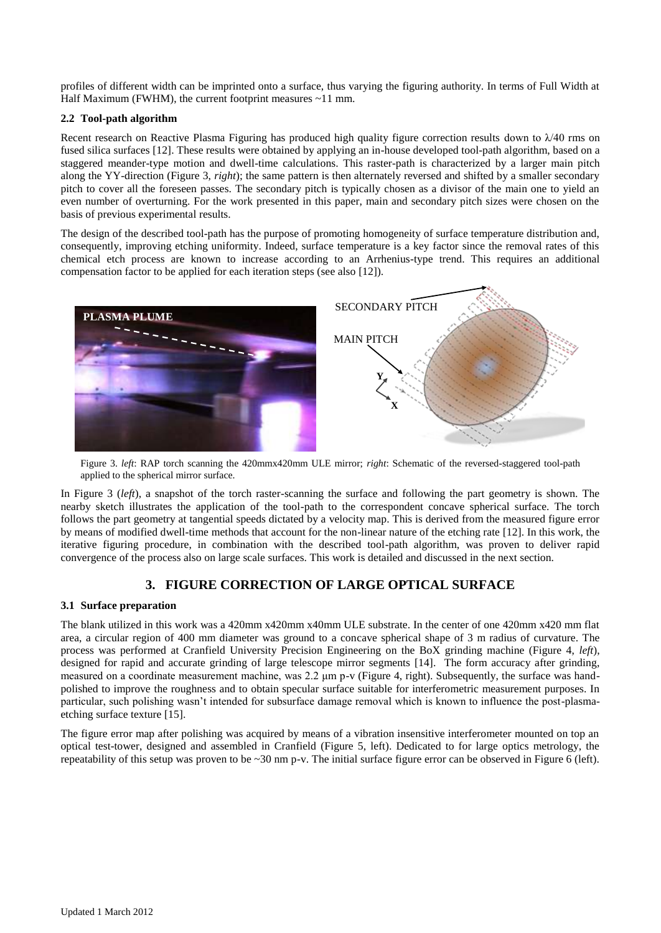profiles of different width can be imprinted onto a surface, thus varying the figuring authority. In terms of Full Width at Half Maximum (FWHM), the current footprint measures ~11 mm.

### **2.2 Tool-path algorithm**

Recent research on Reactive Plasma Figuring has produced high quality figure correction results down to  $\lambda$ /40 rms on fused silica surfaces [\[12\].](#page-6-11) These results were obtained by applying an in-house developed tool-path algorithm, based on a staggered meander-type motion and dwell-time calculations. This raster-path is characterized by a larger main pitch along the YY-direction (Figure 3, *right*); the same pattern is then alternately reversed and shifted by a smaller secondary pitch to cover all the foreseen passes. The secondary pitch is typically chosen as a divisor of the main one to yield an even number of overturning. For the work presented in this paper, main and secondary pitch sizes were chosen on the basis of previous experimental results.

The design of the described tool-path has the purpose of promoting homogeneity of surface temperature distribution and, consequently, improving etching uniformity. Indeed, surface temperature is a key factor since the removal rates of this chemical etch process are known to increase according to an Arrhenius-type trend. This requires an additional compensation factor to be applied for each iteration steps (see also [\[12\]\)](#page-6-11).



Figure 3. *left*: RAP torch scanning the 420mmx420mm ULE mirror; *right*: Schematic of the reversed-staggered tool-path applied to the spherical mirror surface.

In Figure 3 (*left*), a snapshot of the torch raster-scanning the surface and following the part geometry is shown. The nearby sketch illustrates the application of the tool-path to the correspondent concave spherical surface. The torch follows the part geometry at tangential speeds dictated by a velocity map. This is derived from the measured figure error by means of modified dwell-time methods that account for the non-linear nature of the etching rate [\[12\].](#page-6-11) In this work, the iterative figuring procedure, in combination with the described tool-path algorithm, was proven to deliver rapid convergence of the process also on large scale surfaces. This work is detailed and discussed in the next section.

# **3. FIGURE CORRECTION OF LARGE OPTICAL SURFACE**

### **3.1 Surface preparation**

The blank utilized in this work was a 420mm x420mm x40mm ULE substrate. In the center of one 420mm x420 mm flat area, a circular region of 400 mm diameter was ground to a concave spherical shape of 3 m radius of curvature. The process was performed at Cranfield University Precision Engineering on the BoX grinding machine (Figure 4, *left*), designed for rapid and accurate grinding of large telescope mirror segments [\[14\].](#page-7-1) The form accuracy after grinding, measured on a coordinate measurement machine, was 2.2 μm p-v (Figure 4, right). Subsequently, the surface was handpolished to improve the roughness and to obtain specular surface suitable for interferometric measurement purposes. In particular, such polishing wasn't intended for subsurface damage removal which is known to influence the post-plasmaetching surface texture [\[15\].](#page-7-2)

The figure error map after polishing was acquired by means of a vibration insensitive interferometer mounted on top an optical test-tower, designed and assembled in Cranfield (Figure 5, left). Dedicated to for large optics metrology, the repeatability of this setup was proven to be  $\sim 30$  nm p-v. The initial surface figure error can be observed in Figure 6 (left).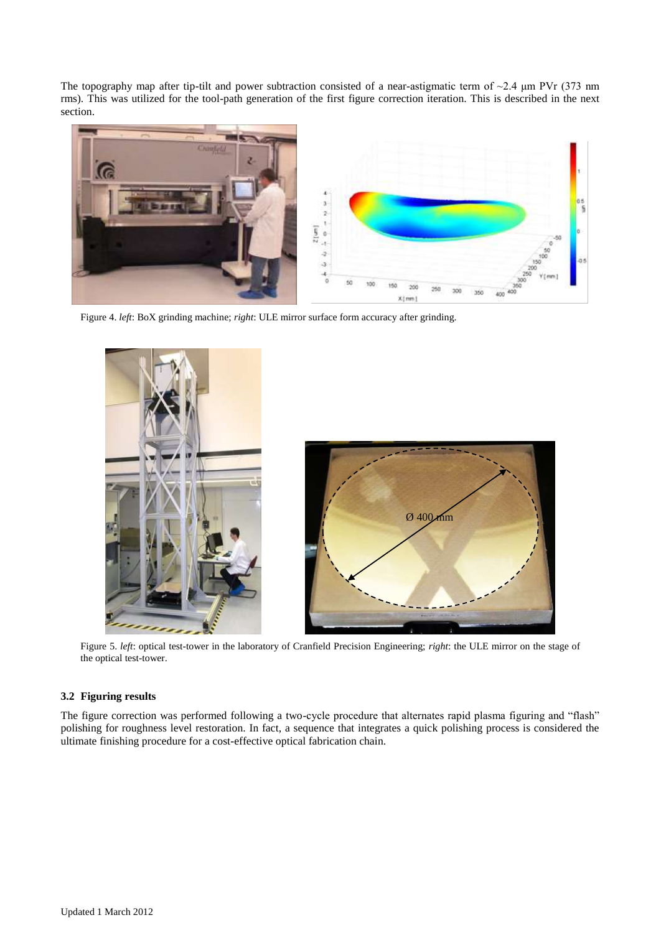The topography map after tip-tilt and power subtraction consisted of a near-astigmatic term of  $\sim$ 2.4  $\mu$ m PVr (373 nm rms). This was utilized for the tool-path generation of the first figure correction iteration. This is described in the next section.



Figure 4. *left*: BoX grinding machine; *right*: ULE mirror surface form accuracy after grinding.



Figure 5. *left*: optical test-tower in the laboratory of Cranfield Precision Engineering; *right*: the ULE mirror on the stage of the optical test-tower.

# **3.2 Figuring results**

The figure correction was performed following a two-cycle procedure that alternates rapid plasma figuring and "flash" polishing for roughness level restoration. In fact, a sequence that integrates a quick polishing process is considered the ultimate finishing procedure for a cost-effective optical fabrication chain.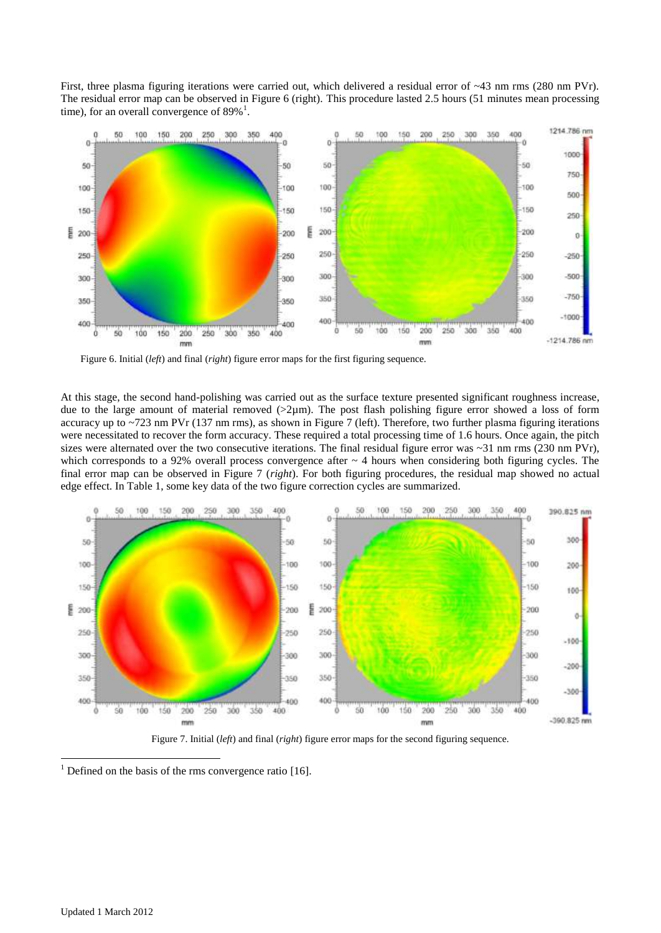First, three plasma figuring iterations were carried out, which delivered a residual error of ~43 nm rms (280 nm PVr). The residual error map can be observed in Figure 6 (right). This procedure lasted 2.5 hours (51 minutes mean processing time), for an overall convergence of  $89\%$ <sup>1</sup>.



Figure 6. Initial (*left*) and final (*right*) figure error maps for the first figuring sequence.

At this stage, the second hand-polishing was carried out as the surface texture presented significant roughness increase, due to the large amount of material removed  $(2\mu m)$ . The post flash polishing figure error showed a loss of form accuracy up to ~723 nm PVr (137 nm rms), as shown in Figure 7 (left). Therefore, two further plasma figuring iterations were necessitated to recover the form accuracy. These required a total processing time of 1.6 hours. Once again, the pitch sizes were alternated over the two consecutive iterations. The final residual figure error was  $\sim$ 31 nm rms (230 nm PVr), which corresponds to a 92% overall process convergence after  $\sim$  4 hours when considering both figuring cycles. The final error map can be observed in Figure 7 (*right*). For both figuring procedures, the residual map showed no actual edge effect. In Table 1, some key data of the two figure correction cycles are summarized.



Figure 7. Initial (*left*) and final (*right*) figure error maps for the second figuring sequence.

 $1$  Defined on the basis of the rms convergence ratio [\[16\].](#page-7-3)

1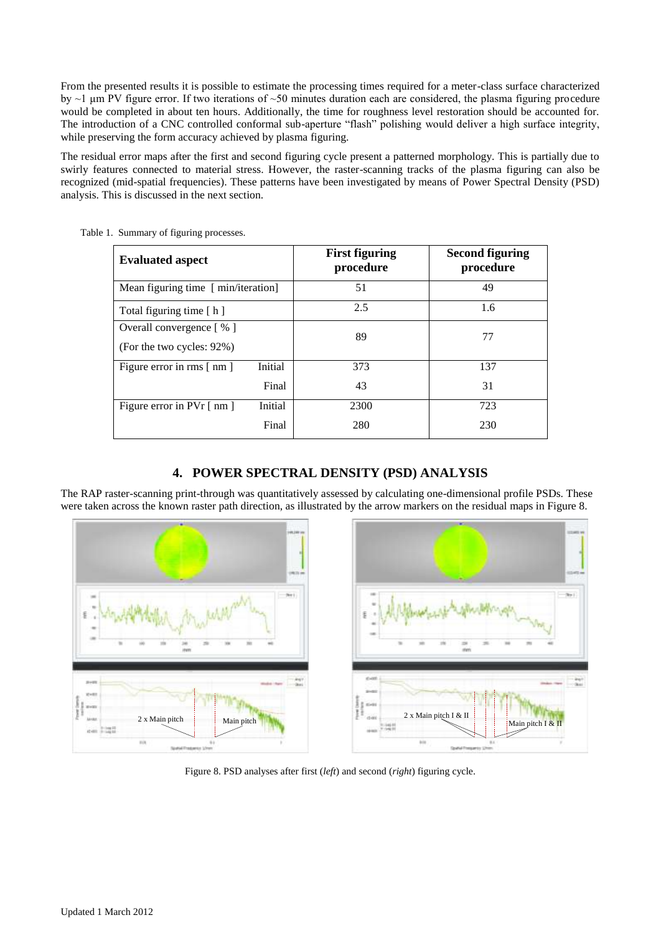From the presented results it is possible to estimate the processing times required for a meter-class surface characterized by  $\sim$ 1 μm PV figure error. If two iterations of  $\sim$ 50 minutes duration each are considered, the plasma figuring procedure would be completed in about ten hours. Additionally, the time for roughness level restoration should be accounted for. The introduction of a CNC controlled conformal sub-aperture "flash" polishing would deliver a high surface integrity, while preserving the form accuracy achieved by plasma figuring.

The residual error maps after the first and second figuring cycle present a patterned morphology. This is partially due to swirly features connected to material stress. However, the raster-scanning tracks of the plasma figuring can also be recognized (mid-spatial frequencies). These patterns have been investigated by means of Power Spectral Density (PSD) analysis. This is discussed in the next section.

| <b>Evaluated aspect</b>                                             |         | <b>First figuring</b><br>procedure | <b>Second figuring</b><br>procedure |
|---------------------------------------------------------------------|---------|------------------------------------|-------------------------------------|
| Mean figuring time [ min/iteration]                                 |         | 51                                 | 49                                  |
| Total figuring time [h]                                             |         | 2.5                                | 1.6                                 |
| Overall convergence $\lceil \% \rceil$<br>(For the two cycles: 92%) |         | 89                                 | 77                                  |
| Figure error in rms [nm]                                            | Initial | 373                                | 137                                 |
|                                                                     | Final   | 43                                 | 31                                  |
| Figure error in $Pvr$ [ nm ]                                        | Initial | 2300                               | 723                                 |
|                                                                     | Final   | 280                                | 230                                 |

Table 1. Summary of figuring processes.

# **4. POWER SPECTRAL DENSITY (PSD) ANALYSIS**

The RAP raster-scanning print-through was quantitatively assessed by calculating one-dimensional profile PSDs. These were taken across the known raster path direction, as illustrated by the arrow markers on the residual maps in Figure 8.



Figure 8. PSD analyses after first (*left*) and second (*right*) figuring cycle.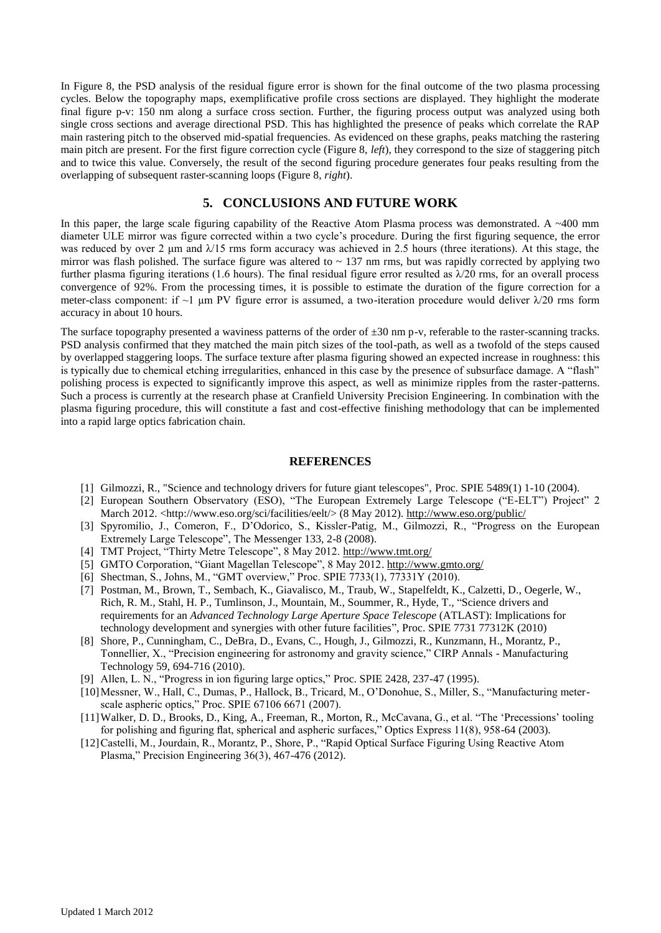In Figure 8, the PSD analysis of the residual figure error is shown for the final outcome of the two plasma processing cycles. Below the topography maps, exemplificative profile cross sections are displayed. They highlight the moderate final figure p-v: 150 nm along a surface cross section. Further, the figuring process output was analyzed using both single cross sections and average directional PSD. This has highlighted the presence of peaks which correlate the RAP main rastering pitch to the observed mid-spatial frequencies. As evidenced on these graphs, peaks matching the rastering main pitch are present. For the first figure correction cycle (Figure 8, *left*), they correspond to the size of staggering pitch and to twice this value. Conversely, the result of the second figuring procedure generates four peaks resulting from the overlapping of subsequent raster-scanning loops (Figure 8, *right*).

### **5. CONCLUSIONS AND FUTURE WORK**

In this paper, the large scale figuring capability of the Reactive Atom Plasma process was demonstrated. A ~400 mm diameter ULE mirror was figure corrected within a two cycle's procedure. During the first figuring sequence, the error was reduced by over 2  $\mu$ m and  $\lambda$ 15 rms form accuracy was achieved in 2.5 hours (three iterations). At this stage, the mirror was flash polished. The surface figure was altered to  $\sim$  137 nm rms, but was rapidly corrected by applying two further plasma figuring iterations (1.6 hours). The final residual figure error resulted as  $\lambda/20$  rms, for an overall process convergence of 92%. From the processing times, it is possible to estimate the duration of the figure correction for a meter-class component: if  $\sim$ 1 μm PV figure error is assumed, a two-iteration procedure would deliver  $\lambda$ /20 rms form accuracy in about 10 hours.

The surface topography presented a waviness patterns of the order of  $\pm 30$  nm p-v, referable to the raster-scanning tracks. PSD analysis confirmed that they matched the main pitch sizes of the tool-path, as well as a twofold of the steps caused by overlapped staggering loops. The surface texture after plasma figuring showed an expected increase in roughness: this is typically due to chemical etching irregularities, enhanced in this case by the presence of subsurface damage. A "flash" polishing process is expected to significantly improve this aspect, as well as minimize ripples from the raster-patterns. Such a process is currently at the research phase at Cranfield University Precision Engineering. In combination with the plasma figuring procedure, this will constitute a fast and cost-effective finishing methodology that can be implemented into a rapid large optics fabrication chain.

#### **REFERENCES**

- <span id="page-6-0"></span>[1] Gilmozzi, R., "Science and technology drivers for future giant telescopes", Proc. SPIE 5489(1) 1-10 (2004).
- <span id="page-6-1"></span>[2] European Southern Observatory (ESO), "The European Extremely Large Telescope ("E-ELT") Project" 2 March 2012. <http://www.eso.org/sci/facilities/eelt/> (8 May 2012).<http://www.eso.org/public/>
- <span id="page-6-2"></span>[3] Spyromilio, J., Comeron, F., D'Odorico, S., Kissler-Patig, M., Gilmozzi, R., "Progress on the European Extremely Large Telescope", The Messenger 133, 2-8 (2008).
- <span id="page-6-3"></span>[4] TMT Project, "Thirty Metre Telescope", 8 May 2012.<http://www.tmt.org/>
- <span id="page-6-4"></span>[5] GMTO Corporation, "Giant Magellan Telescope", 8 May 2012[. http://www.gmto.org/](http://www.gmto.org/)
- <span id="page-6-5"></span>[6] Shectman, S., Johns, M., "GMT overview," Proc. SPIE 7733(1), 77331Y (2010).
- <span id="page-6-6"></span>[7] Postman, M., Brown, T., Sembach, K., Giavalisco, M., Traub, W., Stapelfeldt, K., Calzetti, D., Oegerle, W., Rich, R. M., Stahl, H. P., Tumlinson, J., Mountain, M., Soummer, R., Hyde, T., "Science drivers and requirements for an *Advanced Technology Large Aperture Space Telescope* (ATLAST): Implications for technology development and synergies with other future facilities", Proc. SPIE 7731 77312K (2010)
- <span id="page-6-7"></span>[8] Shore, P., Cunningham, C., DeBra, D., Evans, C., Hough, J., Gilmozzi, R., Kunzmann, H., Morantz, P., Tonnellier, X., "Precision engineering for astronomy and gravity science," CIRP Annals - Manufacturing Technology 59, 694-716 (2010).
- <span id="page-6-8"></span>[9] Allen, L. N., "Progress in ion figuring large optics," Proc. SPIE 2428, 237-47 (1995).
- <span id="page-6-9"></span>[10]Messner, W., Hall, C., Dumas, P., Hallock, B., Tricard, M., O'Donohue, S., Miller, S., "Manufacturing meterscale aspheric optics," Proc. SPIE 67106 6671 (2007).
- <span id="page-6-10"></span>[11]Walker, D. D., Brooks, D., King, A., Freeman, R., Morton, R., McCavana, G., et al. "The 'Precessions' tooling for polishing and figuring flat, spherical and aspheric surfaces," Optics Express 11(8), 958-64 (2003).
- <span id="page-6-11"></span>[12]Castelli, M., Jourdain, R., Morantz, P., Shore, P., "Rapid Optical Surface Figuring Using Reactive Atom Plasma," Precision Engineering 36(3), 467-476 (2012).